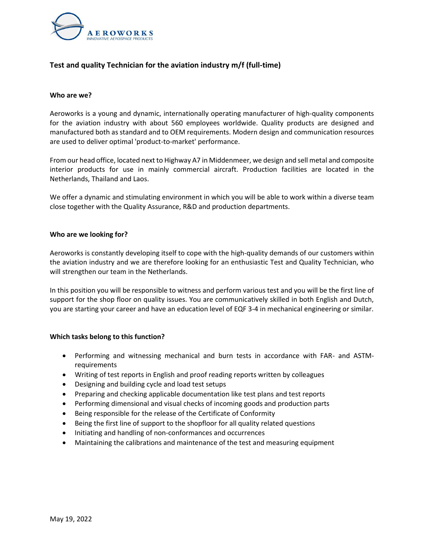

# **Test and quality Technician for the aviation industry m/f (full-time)**

# **Who are we?**

Aeroworks is a young and dynamic, internationally operating manufacturer of high-quality components for the aviation industry with about 560 employees worldwide. Quality products are designed and manufactured both as standard and to OEM requirements. Modern design and communication resources are used to deliver optimal 'product-to-market' performance.

From our head office, located next to Highway A7 in Middenmeer, we design and sell metal and composite interior products for use in mainly commercial aircraft. Production facilities are located in the Netherlands, Thailand and Laos.

We offer a dynamic and stimulating environment in which you will be able to work within a diverse team close together with the Quality Assurance, R&D and production departments.

# **Who are we looking for?**

Aeroworks is constantly developing itself to cope with the high-quality demands of our customers within the aviation industry and we are therefore looking for an enthusiastic Test and Quality Technician, who will strengthen our team in the Netherlands.

In this position you will be responsible to witness and perform various test and you will be the first line of support for the shop floor on quality issues. You are communicatively skilled in both English and Dutch, you are starting your career and have an education level of EQF 3-4 in mechanical engineering or similar.

# **Which tasks belong to this function?**

- Performing and witnessing mechanical and burn tests in accordance with FAR- and ASTMrequirements
- Writing of test reports in English and proof reading reports written by colleagues
- Designing and building cycle and load test setups
- Preparing and checking applicable documentation like test plans and test reports
- Performing dimensional and visual checks of incoming goods and production parts
- Being responsible for the release of the Certificate of Conformity
- Being the first line of support to the shopfloor for all quality related questions
- Initiating and handling of non-conformances and occurrences
- Maintaining the calibrations and maintenance of the test and measuring equipment